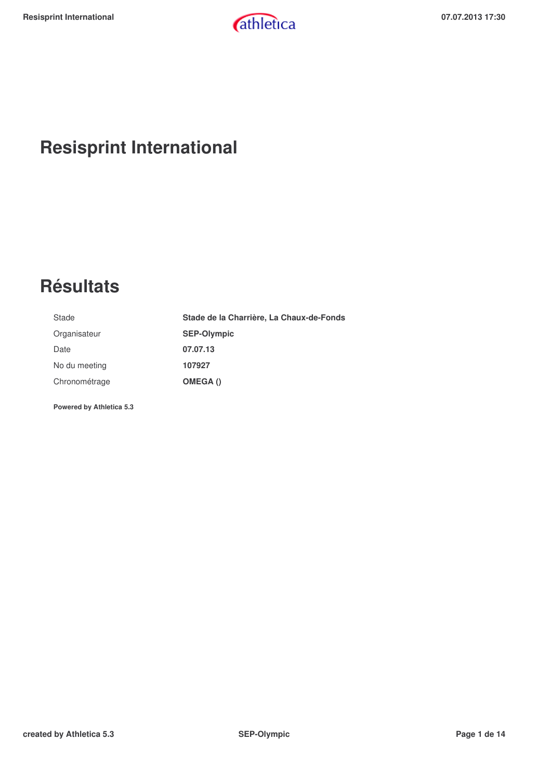# **Resisprint International**

# **Résultats**

| Stade         | Stade de la Charrière, La Chaux-de-Fonds |
|---------------|------------------------------------------|
| Organisateur  | <b>SEP-Olympic</b>                       |
| Date          | 07.07.13                                 |
| No du meeting | 107927                                   |
| Chronométrage | <b>OMEGA()</b>                           |
|               |                                          |

**Powered by Athletica 5.3**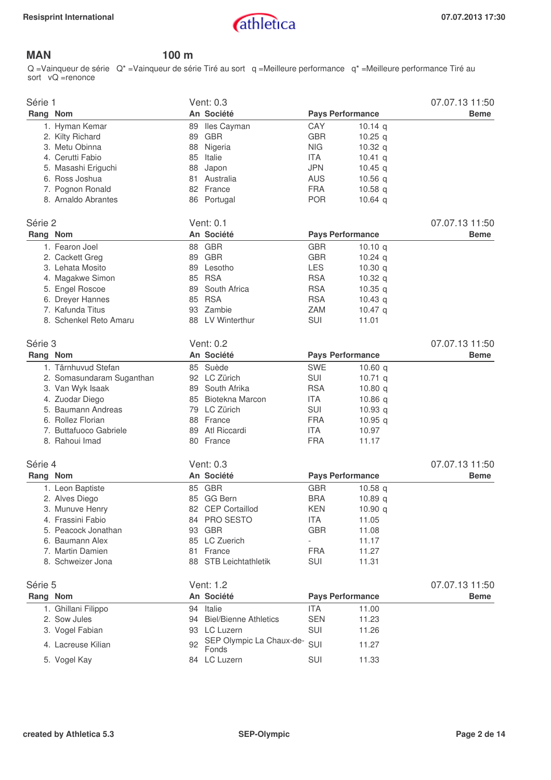

### **MAN 100 m**

| Série 1                   |     | Vent: 0.3                |            |                         | 07.07.13 11:50 |
|---------------------------|-----|--------------------------|------------|-------------------------|----------------|
| Rang Nom                  |     | An Société               |            | <b>Pays Performance</b> | <b>Beme</b>    |
| 1. Hyman Kemar            |     | 89 Iles Cayman           | CAY        | 10.14 $q$               |                |
| 2. Kilty Richard          |     | 89 GBR                   | <b>GBR</b> | 10.25 $q$               |                |
| 3. Metu Obinna            |     | 88 Nigeria               | <b>NIG</b> | 10.32 $q$               |                |
| 4. Cerutti Fabio          |     | 85 Italie                | <b>ITA</b> | 10.41 <sub>a</sub>      |                |
| 5. Masashi Eriguchi       | 88  | Japon                    | <b>JPN</b> | 10.45 $q$               |                |
| 6. Ross Joshua            | 81. | Australia                | <b>AUS</b> | 10.56 <sub>q</sub>      |                |
| 7. Pognon Ronald          |     | 82 France                | <b>FRA</b> | 10.58 $q$               |                |
| 8. Arnaldo Abrantes       |     | 86 Portugal              | <b>POR</b> | 10.64 $q$               |                |
| Série 2                   |     | Vent: $0.1$              |            |                         | 07.07.13 11:50 |
| Rang Nom                  |     | An Société               |            | <b>Pays Performance</b> | <b>Beme</b>    |
| 1. Fearon Joel            |     | 88 GBR                   | <b>GBR</b> | 10.10 $q$               |                |
| 2. Cackett Greg           |     | 89 GBR                   | <b>GBR</b> | 10.24 $q$               |                |
| 3. Lehata Mosito          |     | 89 Lesotho               | <b>LES</b> | 10.30 $q$               |                |
| 4. Magakwe Simon          |     | 85 RSA                   | <b>RSA</b> | 10.32 $q$               |                |
| 5. Engel Roscoe           | 89  | South Africa             | <b>RSA</b> | 10.35 $q$               |                |
| 6. Dreyer Hannes          |     | 85 RSA                   | <b>RSA</b> | 10.43q                  |                |
| 7. Kafunda Titus          |     | 93 Zambie                | ZAM        | 10.47 $q$               |                |
| 8. Schenkel Reto Amaru    |     | 88 LV Winterthur         | SUI        | 11.01                   |                |
|                           |     |                          |            |                         |                |
| Série 3                   |     | Vent: 0.2                |            |                         | 07.07.13 11:50 |
| Rang Nom                  |     | An Société               |            | <b>Pays Performance</b> | <b>Beme</b>    |
| 1. Tärnhuvud Stefan       |     | 85 Suède                 | <b>SWE</b> | 10.60 $q$               |                |
| 2. Somasundaram Suganthan |     | 92 LC Zürich             | SUI        | 10.71 $q$               |                |
| 3. Van Wyk Isaak          |     | 89 South Afrika          | <b>RSA</b> | 10.80q                  |                |
| 4. Zuodar Diego           |     | 85 Biotekna Marcon       | <b>ITA</b> | 10.86 $q$               |                |
| 5. Baumann Andreas        |     | 79 LC Zürich             | SUI        | 10.93 $q$               |                |
| 6. Rollez Florian         |     | 88 France                | <b>FRA</b> | 10.95 $q$               |                |
| 7. Buttafuoco Gabriele    | 89  | Atl Riccardi             | <b>ITA</b> | 10.97                   |                |
| 8. Rahoui Imad            |     | 80 France                | <b>FRA</b> | 11.17                   |                |
| Série 4                   |     | Vent: 0.3                |            |                         | 07.07.13 11:50 |
| Rang Nom                  |     | An Société               |            | <b>Pays Performance</b> | <b>Beme</b>    |
|                           |     |                          |            |                         |                |
| 1. Leon Baptiste          |     | 85 GBR                   | <b>GBR</b> | 10.58q                  |                |
| 2. Alves Diego            |     | 85 GG Bern               | <b>BRA</b> | 10.89q                  |                |
| 3. Munuve Henry           |     | 82 CEP Cortaillod        | KEN        | 10.90 q                 |                |
| 4. Frassini Fabio         |     | 84 PRO SESTO             | <b>ITA</b> | 11.05                   |                |
| 5. Peacock Jonathan       |     | 93 GBR                   | <b>GBR</b> | 11.08                   |                |
| 6. Baumann Alex           |     | 85 LC Zuerich            |            | 11.17                   |                |
| 7. Martin Damien          |     | 81 France                | <b>FRA</b> | 11.27                   |                |
| 8. Schweizer Jona         |     | 88 STB Leichtathletik    | <b>SUI</b> | 11.31                   |                |
| Série 5                   |     | Vent: 1.2                |            |                         | 07.07.13 11:50 |
| Rang Nom                  |     | An Société               |            | <b>Pays Performance</b> | <b>Beme</b>    |
| 1. Ghillani Filippo       |     | 94 Italie                | <b>ITA</b> | 11.00                   |                |
| 2. Sow Jules              |     | 94 Biel/Bienne Athletics | <b>SEN</b> | 11.23                   |                |
| 3. Vogel Fabian           |     | 93 LC Luzern             | SUI        | 11.26                   |                |
| 4. Lacreuse Kilian        | 92  | SEP Olympic La Chaux-de- | SUI        |                         |                |
|                           |     | Fonds                    |            | 11.27                   |                |
| 5. Vogel Kay              |     | 84 LC Luzern             | SUI        | 11.33                   |                |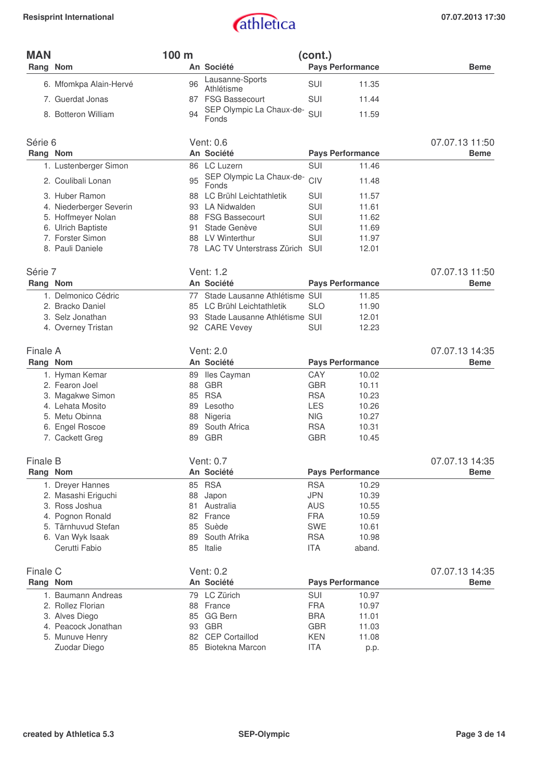# **Resisprint International 07.07.2013 17:30**

| <b>MAN</b> |                                       | 100 m |                                   | (cont.)           |                         |                |
|------------|---------------------------------------|-------|-----------------------------------|-------------------|-------------------------|----------------|
| Rang Nom   |                                       |       | An Société                        |                   | <b>Pays Performance</b> | <b>Beme</b>    |
|            | 6. Mfomkpa Alain-Hervé                | 96    | Lausanne-Sports<br>Athlétisme     | <b>SUI</b>        | 11.35                   |                |
|            | 7. Guerdat Jonas                      | 87    | <b>FSG Bassecourt</b>             | <b>SUI</b>        | 11.44                   |                |
|            | 8. Botteron William                   | 94    | SEP Olympic La Chaux-de-<br>Fonds | SUI               | 11.59                   |                |
| Série 6    |                                       |       | Vent: 0.6                         |                   |                         | 07.07.13 11:50 |
| Rang Nom   |                                       |       | An Société                        |                   | <b>Pays Performance</b> | <b>Beme</b>    |
|            | 1. Lustenberger Simon                 |       | 86 LC Luzern                      | <b>SUI</b>        | 11.46                   |                |
|            | 2. Coulibali Lonan                    | 95    | SEP Olympic La Chaux-de-<br>Fonds | CIV               | 11.48                   |                |
|            | 3. Huber Ramon                        |       | 88 LC Brühl Leichtathletik        | SUI               | 11.57                   |                |
|            | 4. Niederberger Severin               |       | 93 LA Nidwalden                   | SUI               | 11.61                   |                |
|            | 5. Hoffmeyer Nolan                    |       | 88 FSG Bassecourt                 | SUI               | 11.62                   |                |
|            | 6. Ulrich Baptiste                    | 91    | Stade Genève                      | SUI               | 11.69                   |                |
|            | 7. Forster Simon                      |       | 88 LV Winterthur                  | <b>SUI</b>        | 11.97                   |                |
|            | 8. Pauli Daniele                      |       | 78 LAC TV Unterstrass Zürich SUI  |                   | 12.01                   |                |
| Série 7    |                                       |       | Vent: 1.2                         |                   |                         | 07.07.13 11:50 |
| Rang Nom   |                                       |       | An Société                        |                   | <b>Pays Performance</b> | <b>Beme</b>    |
|            | 1. Delmonico Cédric                   | 77    | Stade Lausanne Athlétisme SUI     |                   | 11.85                   |                |
|            | 2. Bracko Daniel                      |       | 85 LC Brühl Leichtathletik        | <b>SLO</b>        | 11.90                   |                |
|            | 3. Selz Jonathan                      |       | 93 Stade Lausanne Athlétisme SUI  |                   | 12.01                   |                |
|            | 4. Overney Tristan                    |       | 92 CARE Vevey                     | SUI               | 12.23                   |                |
| Finale A   |                                       |       | Vent: 2.0                         |                   |                         | 07.07.13 14:35 |
| Rang Nom   |                                       |       | An Société                        |                   | <b>Pays Performance</b> | <b>Beme</b>    |
|            | 1. Hyman Kemar                        |       | 89 Iles Cayman                    | CAY               | 10.02                   |                |
|            | 2. Fearon Joel                        |       | 88 GBR                            | <b>GBR</b>        | 10.11                   |                |
|            | 3. Magakwe Simon                      |       | 85 RSA                            | <b>RSA</b>        | 10.23                   |                |
|            | 4. Lehata Mosito                      |       | 89 Lesotho                        | <b>LES</b>        | 10.26                   |                |
|            | 5. Metu Obinna                        |       | 88 Nigeria                        | <b>NIG</b>        | 10.27                   |                |
|            | 6. Engel Roscoe                       | 89    | South Africa                      | <b>RSA</b>        | 10.31                   |                |
|            | 7. Cackett Greg                       |       | 89 GBR                            | <b>GBR</b>        | 10.45                   |                |
| Finale B   |                                       |       | Vent: 0.7                         |                   |                         | 07.07.13 14:35 |
| Rang Nom   |                                       |       | An Société                        |                   | <b>Pays Performance</b> | <b>Beme</b>    |
|            | 1. Dreyer Hannes                      |       | 85 RSA                            | <b>RSA</b>        | 10.29                   |                |
|            | 2. Masashi Eriguchi                   |       | 88 Japon                          | <b>JPN</b>        | 10.39                   |                |
|            | 3. Ross Joshua                        |       | 81 Australia                      | AUS               | 10.55                   |                |
|            | 4. Pognon Ronald                      |       | 82 France                         | <b>FRA</b>        | 10.59                   |                |
|            | 5. Tärnhuvud Stefan                   |       | 85 Suède                          | <b>SWE</b>        | 10.61                   |                |
|            | 6. Van Wyk Isaak                      | 89    | South Afrika                      | <b>RSA</b>        | 10.98                   |                |
|            | Cerutti Fabio                         |       | 85 Italie                         | <b>ITA</b>        | aband.                  |                |
|            |                                       |       |                                   |                   |                         |                |
| Finale C   |                                       |       | Vent: 0.2                         |                   |                         | 07.07.13 14:35 |
| Rang Nom   |                                       |       | An Société                        |                   | <b>Pays Performance</b> | <b>Beme</b>    |
|            | 1. Baumann Andreas                    |       | 79 LC Zürich                      | SUI<br><b>FRA</b> | 10.97                   |                |
|            | 2. Rollez Florian                     |       | 88 France                         | <b>BRA</b>        | 10.97                   |                |
|            | 3. Alves Diego<br>4. Peacock Jonathan | 85    | GG Bern<br><b>GBR</b>             | <b>GBR</b>        | 11.01<br>11.03          |                |
|            | 5. Munuve Henry                       | 93    | 82 CEP Cortaillod                 | <b>KEN</b>        | 11.08                   |                |
|            | Zuodar Diego                          | 85    | Biotekna Marcon                   | <b>ITA</b>        | p.p.                    |                |
|            |                                       |       |                                   |                   |                         |                |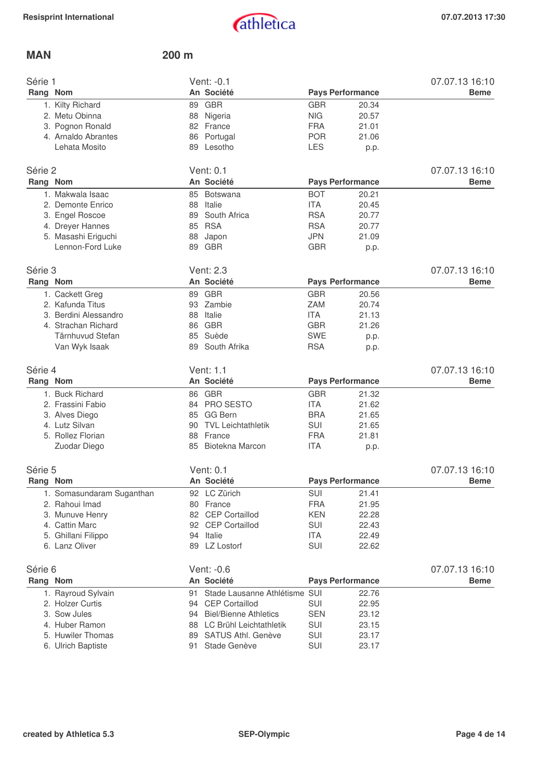## **MAN 200 m**

| Série 1                   | Vent: -0.1                          |                         | 07.07.13 16:10 |
|---------------------------|-------------------------------------|-------------------------|----------------|
| Rang Nom                  | An Société                          | <b>Pays Performance</b> | <b>Beme</b>    |
| 1. Kilty Richard          | 89 GBR                              | <b>GBR</b><br>20.34     |                |
| 2. Metu Obinna            | 88 Nigeria                          | <b>NIG</b><br>20.57     |                |
| 3. Pognon Ronald          | 82 France                           | <b>FRA</b><br>21.01     |                |
| 4. Arnaldo Abrantes       | 86 Portugal                         | <b>POR</b><br>21.06     |                |
| Lehata Mosito             | 89 Lesotho                          | <b>LES</b><br>p.p.      |                |
|                           |                                     |                         |                |
| Série 2                   | Vent: 0.1                           |                         | 07.07.13 16:10 |
| Rang Nom                  | An Société                          | <b>Pays Performance</b> | <b>Beme</b>    |
| 1. Makwala Isaac          | Botswana<br>85                      | <b>BOT</b><br>20.21     |                |
| 2. Demonte Enrico         | 88<br>Italie                        | <b>ITA</b><br>20.45     |                |
| 3. Engel Roscoe           | 89 South Africa                     | <b>RSA</b><br>20.77     |                |
| 4. Dreyer Hannes          | 85 RSA                              | <b>RSA</b><br>20.77     |                |
| 5. Masashi Eriguchi       | 88 Japon                            | <b>JPN</b><br>21.09     |                |
| Lennon-Ford Luke          | 89 GBR                              | <b>GBR</b><br>p.p.      |                |
|                           |                                     |                         |                |
| Série 3                   | Vent: 2.3                           |                         | 07.07.13 16:10 |
| Rang Nom                  | An Société                          | <b>Pays Performance</b> | <b>Beme</b>    |
| 1. Cackett Greg           | 89 GBR                              | <b>GBR</b><br>20.56     |                |
| 2. Kafunda Titus          | 93 Zambie                           | <b>ZAM</b><br>20.74     |                |
| 3. Berdini Alessandro     | 88 Italie                           | <b>ITA</b><br>21.13     |                |
| 4. Strachan Richard       | 86 GBR                              | <b>GBR</b><br>21.26     |                |
| Tärnhuvud Stefan          | 85 Suède                            | <b>SWE</b><br>p.p.      |                |
| Van Wyk Isaak             | 89 South Afrika                     | <b>RSA</b><br>p.p.      |                |
|                           |                                     |                         |                |
| Série 4                   | Vent: 1.1                           |                         | 07.07.13 16:10 |
| Rang Nom                  | An Société                          | <b>Pays Performance</b> | <b>Beme</b>    |
| 1. Buck Richard           | 86 GBR                              | <b>GBR</b><br>21.32     |                |
| 2. Frassini Fabio         | 84 PRO SESTO                        | <b>ITA</b><br>21.62     |                |
| 3. Alves Diego            | 85 GG Bern                          | <b>BRA</b><br>21.65     |                |
| 4. Lutz Silvan            | <b>TVL Leichtathletik</b><br>90     | SUI<br>21.65            |                |
| 5. Rollez Florian         | 88 France                           | <b>FRA</b><br>21.81     |                |
| Zuodar Diego              | 85 Biotekna Marcon                  | <b>ITA</b><br>p.p.      |                |
|                           |                                     |                         |                |
| Série 5                   | Vent: 0.1                           |                         | 07.07.13 16:10 |
| Rang Nom                  | An Société                          | <b>Pays Performance</b> | <b>Beme</b>    |
| 1. Somasundaram Suganthan | 92 LC Zürich                        | SUI<br>21.41            |                |
| 2. Rahoui Imad            | 80 France                           | <b>FRA</b><br>21.95     |                |
| 3. Munuve Henry           | 82 CEP Cortaillod                   | <b>KEN</b><br>22.28     |                |
| 4. Cattin Marc            | 92 CEP Cortaillod                   | SUI<br>22.43            |                |
| 5. Ghillani Filippo       | Italie<br>94                        | <b>ITA</b><br>22.49     |                |
| 6. Lanz Oliver            | 89 LZ Lostorf                       | SUI<br>22.62            |                |
|                           |                                     |                         |                |
| Série 6                   | Vent: -0.6                          |                         | 07.07.13 16:10 |
| Rang Nom                  | An Société                          | <b>Pays Performance</b> | <b>Beme</b>    |
| 1. Rayroud Sylvain        | Stade Lausanne Athlétisme SUI<br>91 | 22.76                   |                |
| 2. Holzer Curtis          | 94 CEP Cortaillod                   | SUI<br>22.95            |                |
| 3. Sow Jules              | <b>Biel/Bienne Athletics</b><br>94  | <b>SEN</b><br>23.12     |                |
| 4. Huber Ramon            | 88 LC Brühl Leichtathletik          | SUI<br>23.15            |                |
| 5. Huwiler Thomas         | SATUS Athl. Genève<br>89            | SUI<br>23.17            |                |
| 6. Ulrich Baptiste        | Stade Genève<br>91                  | SUI<br>23.17            |                |
|                           |                                     |                         |                |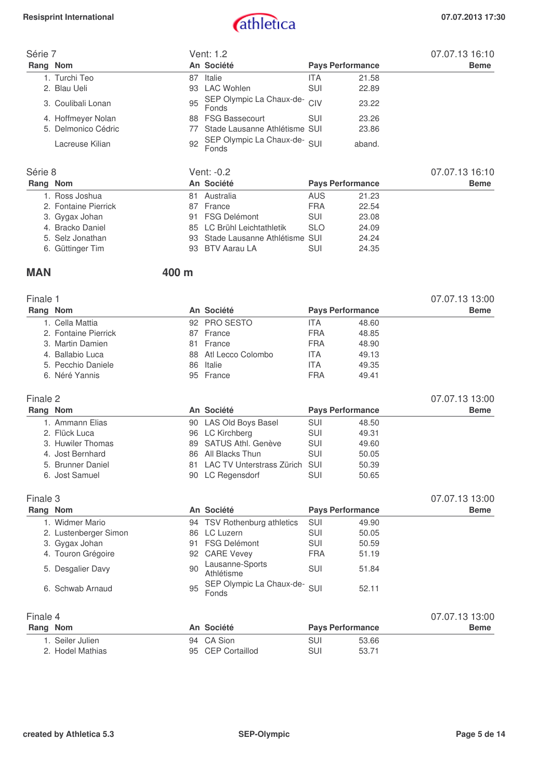

| Série 7             | Vent: 1.2                                   |                         | 07.07.13 16:10 |
|---------------------|---------------------------------------------|-------------------------|----------------|
| Rang Nom            | An Société                                  | <b>Pays Performance</b> | <b>Beme</b>    |
| 1. Turchi Teo       | Italie<br>87                                | <b>ITA</b><br>21.58     |                |
| 2. Blau Ueli        | <b>LAC Wohlen</b><br>93                     | <b>SUI</b><br>22.89     |                |
| 3. Coulibali Lonan  | SEP Olympic La Chaux-de-<br>95<br>Fonds     | CIV<br>23.22            |                |
| 4. Hoffmeyer Nolan  | <b>FSG Bassecourt</b><br>88                 | SUI<br>23.26            |                |
| 5. Delmonico Cédric | Stade Lausanne Athlétisme SUI<br>77         | 23.86                   |                |
| Lacreuse Kilian     | SEP Olympic La Chaux-de- SUI<br>92<br>Fonds | aband.                  |                |
| Série 8             | Vent: -0.2                                  |                         | 07.07.13 16:10 |
| Rang Nom            | An Société                                  | <b>Pays Performance</b> | <b>Beme</b>    |
| 1. Ross Joshua      | Australia<br>81                             | <b>AUS</b><br>21.23     |                |

| 1. Ross Joshua       | 81 Australia                     | <b>AUS</b> | 21.23 |
|----------------------|----------------------------------|------------|-------|
| 2. Fontaine Pierrick | 87 France                        | <b>FRA</b> | 22.54 |
| 3. Gygax Johan       | 91 FSG Delémont                  | <b>SUI</b> | 23.08 |
| 4. Bracko Daniel     | 85 LC Brühl Leichtathletik       | <b>SLO</b> | 24.09 |
| 5. Selz Jonathan     | 93 Stade Lausanne Athlétisme SUI |            | 24.24 |
| 6. Güttinger Tim     | 93 BTV Aarau LA                  | SUI        | 24.35 |

### **MAN 400 m**

| Finale 1 |                       |     |                                   |            |                         | 07.07.13 13:00 |
|----------|-----------------------|-----|-----------------------------------|------------|-------------------------|----------------|
| Rang Nom |                       |     | An Société                        |            | <b>Pays Performance</b> | <b>Beme</b>    |
|          | 1. Cella Mattia       |     | 92 PRO SESTO                      | <b>ITA</b> | 48.60                   |                |
|          | 2. Fontaine Pierrick  | 87  | France                            | <b>FRA</b> | 48.85                   |                |
|          | 3. Martin Damien      | 81  | France                            | <b>FRA</b> | 48.90                   |                |
|          | 4. Ballabio Luca      | 88  | Atl Lecco Colombo                 | <b>ITA</b> | 49.13                   |                |
|          | 5. Pecchio Daniele    | 86  | Italie                            | <b>ITA</b> | 49.35                   |                |
|          | 6. Néré Yannis        |     | 95 France                         | <b>FRA</b> | 49.41                   |                |
| Finale 2 |                       |     |                                   |            |                         | 07.07.13 13:00 |
| Rang Nom |                       |     | An Société                        |            | <b>Pays Performance</b> | <b>Beme</b>    |
|          | 1. Ammann Elias       | 90  | LAS Old Boys Basel                | <b>SUI</b> | 48.50                   |                |
|          | 2. Flück Luca         |     | 96 LC Kirchberg                   | <b>SUI</b> | 49.31                   |                |
|          | 3. Huwiler Thomas     | 89  | SATUS Athl. Genève                | <b>SUI</b> | 49.60                   |                |
|          | 4. Jost Bernhard      | 86. | All Blacks Thun                   | <b>SUI</b> | 50.05                   |                |
|          | 5. Brunner Daniel     | 81  | LAC TV Unterstrass Zürich         | <b>SUI</b> | 50.39                   |                |
|          | 6. Jost Samuel        |     | 90 LC Regensdorf                  | <b>SUI</b> | 50.65                   |                |
| Finale 3 |                       |     |                                   |            |                         | 07.07.13 13:00 |
| Rang Nom |                       |     | An Société                        |            | <b>Pays Performance</b> | <b>Beme</b>    |
|          | 1. Widmer Mario       |     | 94 TSV Rothenburg athletics       | <b>SUI</b> | 49.90                   |                |
|          | 2. Lustenberger Simon | 86  | LC Luzern                         | SUI        | 50.05                   |                |
|          | 3. Gygax Johan        | 91  | FSG Delémont                      | <b>SUI</b> | 50.59                   |                |
|          | 4. Touron Grégoire    | 92  | <b>CARE Vevey</b>                 | <b>FRA</b> | 51.19                   |                |
|          | 5. Desgalier Davy     | 90  | Lausanne-Sports<br>Athlétisme     | <b>SUI</b> | 51.84                   |                |
|          | 6. Schwab Arnaud      | 95  | SEP Olympic La Chaux-de-<br>Fonds | SUI        | 52.11                   |                |
| Finale 4 |                       |     |                                   |            |                         | 07.07.13 13:00 |
| Rang Nom |                       |     | An Société                        |            | <b>Pays Performance</b> | <b>Beme</b>    |
|          | 1. Seiler Julien      | 94  | CA Sion                           | <b>SUI</b> | 53.66                   |                |
|          | 2. Hodel Mathias      | 95  | <b>CEP Cortaillod</b>             | <b>SUI</b> | 53.71                   |                |
|          |                       |     |                                   |            |                         |                |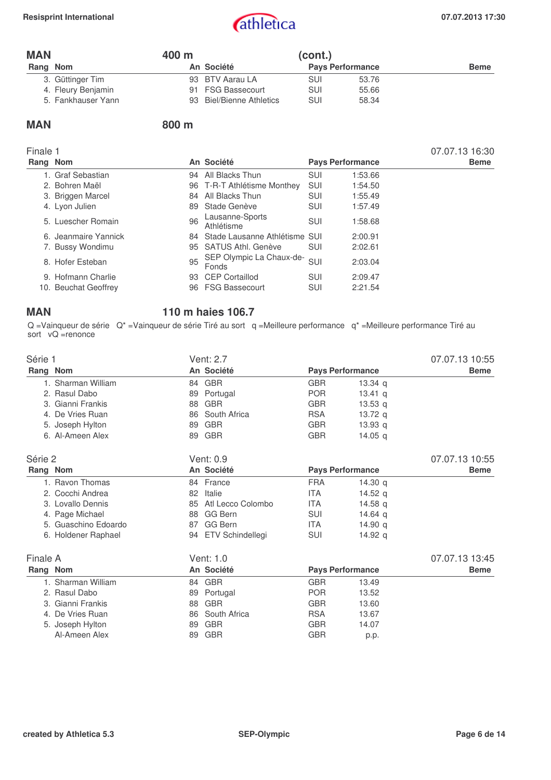| <b>MAN</b>         | 400 m                    | (cont.)                 |             |
|--------------------|--------------------------|-------------------------|-------------|
| Rang Nom           | An Société               | <b>Pays Performance</b> | <b>Beme</b> |
| 3. Güttinger Tim   | 93 BTV Aarau LA          | 53.76<br>SUI            |             |
| 4. Fleury Benjamin | 91 FSG Bassecourt        | <b>SUI</b><br>55.66     |             |
| 5. Fankhauser Yann | 93 Biel/Bienne Athletics | SUI<br>58.34            |             |

## **MAN 800 m**

| Finale 1 |                      |    |                                   |                         |         | 07.07.13 16:30 |
|----------|----------------------|----|-----------------------------------|-------------------------|---------|----------------|
| Rang Nom |                      |    | An Société                        | <b>Pays Performance</b> |         | <b>Beme</b>    |
|          | 1. Graf Sebastian    | 94 | All Blacks Thun                   | <b>SUI</b>              | 1:53.66 |                |
|          | 2. Bohren Maël       |    | 96 T-R-T Athlétisme Monthey       | <b>SUI</b>              | 1:54.50 |                |
|          | 3. Briggen Marcel    | 84 | All Blacks Thun                   | SUI                     | 1:55.49 |                |
|          | 4. Lyon Julien       | 89 | Stade Genève                      | SUI                     | 1:57.49 |                |
|          | 5. Luescher Romain   | 96 | Lausanne-Sports<br>Athlétisme     | SUI                     | 1:58.68 |                |
|          | 6. Jeanmaire Yannick | 84 | Stade Lausanne Athlétisme SUI     |                         | 2:00.91 |                |
|          | 7. Bussy Wondimu     |    | 95 SATUS Athl. Genève             | SUI                     | 2:02.61 |                |
|          | 8. Hofer Esteban     | 95 | SEP Olympic La Chaux-de-<br>Fonds | SUI                     | 2:03.04 |                |
|          | 9. Hofmann Charlie   |    | 93 CEP Cortaillod                 | <b>SUI</b>              | 2:09.47 |                |
|          | 10. Beuchat Geoffrey | 96 | <b>FSG Bassecourt</b>             | SUI                     | 2:21.54 |                |
|          |                      |    |                                   |                         |         |                |

## **MAN 110 m haies 106.7**

| Série 1              | Vent: 2.7               |                                  | 07.07.13 10:55 |
|----------------------|-------------------------|----------------------------------|----------------|
| Rang Nom             | An Société              | <b>Pays Performance</b>          | <b>Beme</b>    |
| 1. Sharman William   | 84 GBR                  | <b>GBR</b><br>13.34 <sub>q</sub> |                |
| 2. Rasul Dabo        | 89<br>Portugal          | <b>POR</b><br>13.41 <sub>a</sub> |                |
| 3. Gianni Frankis    | <b>GBR</b><br>88        | <b>GBR</b><br>13.53 <sub>q</sub> |                |
| 4. De Vries Ruan     | South Africa<br>86      | <b>RSA</b><br>13.72 <sub>a</sub> |                |
| 5. Joseph Hylton     | <b>GBR</b><br>89        | <b>GBR</b><br>13.93 <sub>q</sub> |                |
| 6. Al-Ameen Alex     | <b>GBR</b><br>89        | <b>GBR</b><br>14.05 <sub>a</sub> |                |
| Série 2              | Vent: 0.9               |                                  | 07.07.13 10:55 |
| Rang Nom             | An Société              | <b>Pays Performance</b>          | <b>Beme</b>    |
| 1. Ravon Thomas      | 84 France               | <b>FRA</b><br>14.30 $q$          |                |
| 2. Cocchi Andrea     | 82<br>Italie            | <b>ITA</b><br>14.52 g            |                |
| 3. Lovallo Dennis    | Atl Lecco Colombo<br>85 | <b>ITA</b><br>14.58 $q$          |                |
| 4. Page Michael      | <b>GG Bern</b><br>88    | <b>SUI</b><br>14.64 q            |                |
| 5. Guaschino Edoardo | GG Bern<br>87           | <b>ITA</b><br>14.90 $q$          |                |
| 6. Holdener Raphael  | ETV Schindellegi<br>94  | SUI<br>14.92 q                   |                |
| Finale A             | Vent: 1.0               |                                  | 07.07.13 13:45 |
| Rang Nom             | An Société              | <b>Pays Performance</b>          | <b>Beme</b>    |
| 1. Sharman William   | <b>GBR</b><br>84        | <b>GBR</b><br>13.49              |                |
| 2. Rasul Dabo        | 89<br>Portugal          | <b>POR</b><br>13.52              |                |
| 3. Gianni Frankis    | <b>GBR</b><br>88        | <b>GBR</b><br>13.60              |                |
| 4. De Vries Ruan     | South Africa<br>86      | <b>RSA</b><br>13.67              |                |
| 5. Joseph Hylton     | <b>GBR</b><br>89        | <b>GBR</b><br>14.07              |                |
| Al-Ameen Alex        | <b>GBR</b><br>89        | <b>GBR</b><br>p.p.               |                |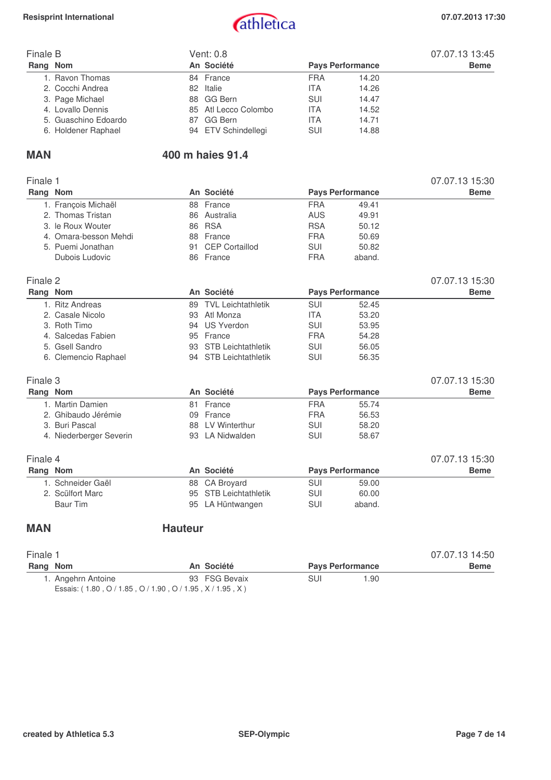

| Finale B             | Vent: 0.8            |            |                         |             |  |
|----------------------|----------------------|------------|-------------------------|-------------|--|
| Rang Nom             | An Société           |            | <b>Pays Performance</b> | <b>Beme</b> |  |
| 1. Ravon Thomas      | 84 France            | <b>FRA</b> | 14.20                   |             |  |
| 2. Cocchi Andrea     | 82 Italie            | ITA        | 14.26                   |             |  |
| 3. Page Michael      | 88 GG Bern           | <b>SUI</b> | 14.47                   |             |  |
| 4. Lovallo Dennis    | 85 Atl Lecco Colombo | <b>ITA</b> | 14.52                   |             |  |
| 5. Guaschino Edoardo | ' GG Bern<br>87      | <b>ITA</b> | 14.71                   |             |  |
| 6. Holdener Raphael  | 94 ETV Schindellegi  | SUI        | 14.88                   |             |  |

### **MAN 400 m haies 91.4**

| Finale 1                |                                 |                         | 07.07.13 15:30 |
|-------------------------|---------------------------------|-------------------------|----------------|
| Rang Nom                | An Société                      | <b>Pays Performance</b> | <b>Beme</b>    |
| 1. François Michaël     | 88 France                       | <b>FRA</b><br>49.41     |                |
| 2. Thomas Tristan       | 86<br>Australia                 | <b>AUS</b><br>49.91     |                |
| 3. le Roux Wouter       | <b>RSA</b><br>86                | <b>RSA</b><br>50.12     |                |
| 4. Omara-besson Mehdi   | 88<br>France                    | <b>FRA</b><br>50.69     |                |
| 5. Puemi Jonathan       | <b>CEP Cortaillod</b><br>91     | <b>SUI</b><br>50.82     |                |
| Dubois Ludovic          | France<br>86                    | <b>FRA</b><br>aband.    |                |
| Finale 2                |                                 |                         | 07.07.13 15:30 |
| Rang Nom                | An Société                      | <b>Pays Performance</b> | <b>Beme</b>    |
| 1. Ritz Andreas         | <b>TVL Leichtathletik</b><br>89 | SUI<br>52.45            |                |
| 2. Casale Nicolo        | 93 Atl Monza                    | <b>ITA</b><br>53.20     |                |
| 3. Roth Timo            | <b>US Yverdon</b><br>94         | SUI<br>53.95            |                |
| 4. Salcedas Fabien      | 95 France                       | <b>FRA</b><br>54.28     |                |
| 5. Gsell Sandro         | <b>STB Leichtathletik</b><br>93 | <b>SUI</b><br>56.05     |                |
| 6. Clemencio Raphael    | 94 STB Leichtathletik           | SUI<br>56.35            |                |
| Finale 3                |                                 |                         | 07.07.13 15:30 |
| Rang Nom                | An Société                      | <b>Pays Performance</b> | <b>Beme</b>    |
| 1. Martin Damien        | 81 France                       | <b>FRA</b><br>55.74     |                |
| 2. Ghibaudo Jérémie     | 09 France                       | <b>FRA</b><br>56.53     |                |
| 3. Buri Pascal          | 88 LV Winterthur                | <b>SUI</b><br>58.20     |                |
| 4. Niederberger Severin | 93 LA Nidwalden                 | <b>SUI</b><br>58.67     |                |
| Finale 4                |                                 |                         | 07.07.13 15:30 |
| Rang Nom                | An Société                      | <b>Pays Performance</b> | <b>Beme</b>    |
| 1. Schneider Gaël       | <b>CA Broyard</b><br>88         | SUI<br>59.00            |                |
| 2. Scülfort Marc        | <b>STB Leichtathletik</b><br>95 | SUI<br>60.00            |                |
| <b>Baur Tim</b>         | 95 LA Hüntwangen                | SUI<br>aband.           |                |
| <b>MAN</b>              | <b>Hauteur</b>                  |                         |                |

| Finale 1 |                                                           |  |               |     |                         | 07.07.13 14:50 |
|----------|-----------------------------------------------------------|--|---------------|-----|-------------------------|----------------|
|          | Rang Nom                                                  |  | An Société    |     | <b>Pays Performance</b> | <b>Beme</b>    |
|          | 1. Angehrn Antoine                                        |  | 93 FSG Bevaix | SUI | 1.90                    |                |
|          | Essais: (1.80, O / 1.85, O / 1.90, O / 1.95, X / 1.95, X) |  |               |     |                         |                |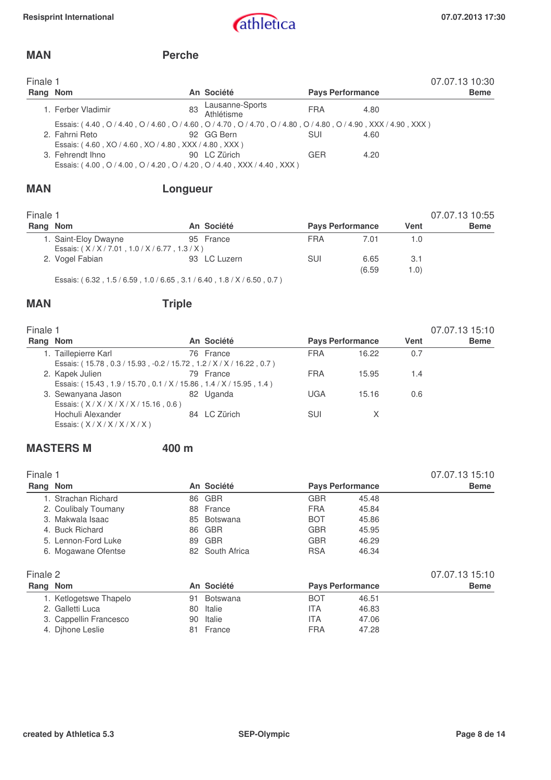## **MAN Perche**

| Finale 1 |                                                                                                                  |    |                               |            |                         | 07.07.13 10:30 |
|----------|------------------------------------------------------------------------------------------------------------------|----|-------------------------------|------------|-------------------------|----------------|
| Rang Nom |                                                                                                                  |    | An Société                    |            | <b>Pays Performance</b> | <b>Beme</b>    |
|          | 1. Ferber Vladimir                                                                                               | 83 | Lausanne-Sports<br>Athlétisme | <b>FRA</b> | 4.80                    |                |
|          | Essais: (4.40, O / 4.40, O / 4.60, O / 4.60, O / 4.70, O / 4.70, O / 4.80, O / 4.80, O / 4.90, XXX / 4.90, XXX ) |    |                               |            |                         |                |
|          | 2. Fahrni Reto                                                                                                   |    | 92 GG Bern                    | SUI        | 4.60                    |                |
|          | Essais: (4.60, XO / 4.60, XO / 4.80, XXX / 4.80, XXX)                                                            |    |                               |            |                         |                |
|          | 3. Fehrendt Ihno<br>Essais: (4.00, O / 4.00, O / 4.20, O / 4.20, O / 4.40, XXX / 4.40, XXX)                      |    | 90 LC Zürich                  | <b>GER</b> | 4.20                    |                |
|          |                                                                                                                  |    |                               |            |                         |                |

## **MAN Longueur**

|          | Finale 1                              |              |            |                         |      |             |  |  |
|----------|---------------------------------------|--------------|------------|-------------------------|------|-------------|--|--|
| Rang Nom |                                       | An Société   |            | <b>Pays Performance</b> | Vent | <b>Beme</b> |  |  |
|          | 1. Saint-Eloy Dwayne                  | 95 France    | <b>FRA</b> | 7.01                    | 1.0  |             |  |  |
|          | Essais: (X/X/7.01, 1.0/X/6.77, 1.3/X) |              |            |                         |      |             |  |  |
|          | 2. Vogel Fabian                       | 93 LC Luzern | SUI        | 6.65                    | 3.1  |             |  |  |
|          |                                       |              |            | (6.59)                  | 1.0) |             |  |  |

Essais: ( 6.32 , 1.5 / 6.59 , 1.0 / 6.65 , 3.1 / 6.40 , 1.8 / X / 6.50 , 0.7 )

## **MAN Triple**

| Finale 1 |                                |                                                                     |            |                         |      | 07.07.13 15:10 |
|----------|--------------------------------|---------------------------------------------------------------------|------------|-------------------------|------|----------------|
| Rang Nom |                                | An Société                                                          |            | <b>Pays Performance</b> | Vent | <b>Beme</b>    |
|          | 1. Taillepierre Karl           | 76 France                                                           | <b>FRA</b> | 16.22                   | 0.7  |                |
|          |                                | Essais: (15.78, 0.3/15.93, -0.2/15.72, 1.2/X/X/16.22, 0.7)          |            |                         |      |                |
|          | 2. Kapek Julien                | 79 France                                                           | <b>FRA</b> | 15.95                   | 1.4  |                |
|          |                                | Essais: (15.43, 1.9 / 15.70, 0.1 / X / 15.86, 1.4 / X / 15.95, 1.4) |            |                         |      |                |
|          | 3. Sewanyana Jason             | 82 Uganda                                                           | <b>UGA</b> | 15.16                   | 0.6  |                |
|          | Essais: (X/X/X/X/X/15.16, 0.6) |                                                                     |            |                         |      |                |
|          | Hochuli Alexander              | 84 LC Zürich                                                        | SUI        | X                       |      |                |
|          | Essais: $(X/X/X/X/X)$          |                                                                     |            |                         |      |                |

## **MASTERS M 400 m**

| Finale 1               |                       |                         | 07.07.13 15:10 |
|------------------------|-----------------------|-------------------------|----------------|
| Rang Nom               | An Société            | <b>Pays Performance</b> | <b>Beme</b>    |
| 1. Strachan Richard    | <b>GBR</b><br>86      | <b>GBR</b><br>45.48     |                |
| 2. Coulibaly Toumany   | France<br>88          | <b>FRA</b><br>45.84     |                |
| 3. Makwala Isaac       | 85<br>Botswana        | <b>BOT</b><br>45.86     |                |
| 4. Buck Richard        | GBR<br>86             | <b>GBR</b><br>45.95     |                |
| 5. Lennon-Ford Luke    | <b>GBR</b><br>89      | <b>GBR</b><br>46.29     |                |
| 6. Mogawane Ofentse    | South Africa<br>82    | <b>RSA</b><br>46.34     |                |
| Finale 2               |                       |                         | 07.07.13 15:10 |
| Rang Nom               | An Société            | <b>Pays Performance</b> | <b>Beme</b>    |
| 1. Ketlogetswe Thapelo | 91<br><b>Botswana</b> | <b>BOT</b><br>46.51     |                |
| 2. Galletti Luca       | Italie<br>80          | <b>ITA</b><br>46.83     |                |
| 3. Cappellin Francesco | 90<br>Italie          | <b>ITA</b><br>47.06     |                |
| 4. Dihone Leslie       | France<br>81          | <b>FRA</b><br>47.28     |                |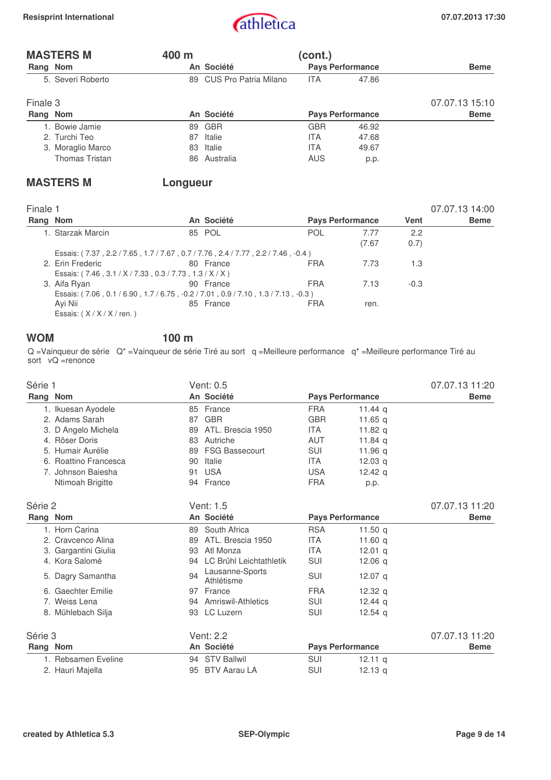| 400 m |        | (cont.)                                              |       |                                                    |
|-------|--------|------------------------------------------------------|-------|----------------------------------------------------|
|       |        |                                                      |       | <b>Beme</b>                                        |
|       |        | <b>ITA</b>                                           | 47.86 |                                                    |
|       |        |                                                      |       | 07.07.13 15:10                                     |
|       |        |                                                      |       | <b>Beme</b>                                        |
|       |        |                                                      |       |                                                    |
|       | 89 GBR | <b>GBR</b>                                           | 46.92 |                                                    |
| 87    | Italie | <b>ITA</b>                                           | 47.68 |                                                    |
| 83    | Italie | ITA                                                  | 49.67 |                                                    |
|       |        | An Société<br>89 CUS Pro Patria Milano<br>An Société |       | <b>Pays Performance</b><br><b>Pays Performance</b> |

## **MASTERS M Longueur**

| Finale 1 |                                                         |                                                                                  |            |                         |             | 07.07.13 14:00 |
|----------|---------------------------------------------------------|----------------------------------------------------------------------------------|------------|-------------------------|-------------|----------------|
| Rang Nom |                                                         | An Société                                                                       |            | <b>Pays Performance</b> | <b>Vent</b> | <b>Beme</b>    |
|          | 1. Starzak Marcin                                       | 85 POL                                                                           | <b>POL</b> | 7.77                    | 2.2         |                |
|          |                                                         |                                                                                  |            | (7.67)                  | 0.7)        |                |
|          |                                                         | Essais: (7.37, 2.2 / 7.65, 1.7 / 7.67, 0.7 / 7.76, 2.4 / 7.77, 2.2 / 7.46, -0.4) |            |                         |             |                |
|          | 2. Erin Frederic                                        | 80 France                                                                        | <b>FRA</b> | 7.73                    | 1.3         |                |
|          | Essais: (7.46, 3.1 / X / 7.33, 0.3 / 7.73, 1.3 / X / X) |                                                                                  |            |                         |             |                |
|          | 3. Aifa Ryan                                            | 90 France                                                                        | <b>FRA</b> | 7.13                    | $-0.3$      |                |
|          |                                                         | Essais: (7.06, 0.1/6.90, 1.7/6.75, -0.2/7.01, 0.9/7.10, 1.3/7.13, -0.3)          |            |                         |             |                |
|          | Ayi Nii                                                 | 85 France                                                                        | <b>FRA</b> | ren.                    |             |                |
|          | Essais: $(X/X/X/ren. )$                                 |                                                                                  |            |                         |             |                |

### **WOM 100 m**

| Série 1               | Vent: 0.5                           |                                  | 07.07.13 11:20 |
|-----------------------|-------------------------------------|----------------------------------|----------------|
| Rang Nom              | An Société                          | <b>Pays Performance</b>          | <b>Beme</b>    |
| 1. Ikuesan Ayodele    | 85 France                           | <b>FRA</b><br>11.44 a            |                |
| 2. Adams Sarah        | <b>GBR</b><br>87                    | <b>GBR</b><br>11.65 $q$          |                |
| 3. D Angelo Michela   | ATL, Brescia 1950<br>89             | <b>ITA</b><br>11.82 $q$          |                |
| 4. Röser Doris        | Autriche<br>83                      | <b>AUT</b><br>11.84 a            |                |
| 5. Humair Aurélie     | <b>FSG Bassecourt</b><br>89         | <b>SUI</b><br>11.96 q            |                |
| 6. Roattino Francesca | 90<br>Italie                        | <b>ITA</b><br>12.03 <sub>q</sub> |                |
| 7. Johnson Baiesha    | <b>USA</b><br>91                    | <b>USA</b><br>12.42 g            |                |
| Ntimoah Brigitte      | 94 France                           | <b>FRA</b><br>p.p.               |                |
| Série 2               | Vent: 1.5                           |                                  | 07.07.13 11:20 |
| Rang Nom              | An Société                          | <b>Pays Performance</b>          | <b>Beme</b>    |
| 1. Horn Carina        | South Africa<br>89                  | <b>RSA</b><br>11.50 $a$          |                |
| 2. Cravcenco Alina    | ATL, Brescia 1950<br>89             | <b>ITA</b><br>11.60 $a$          |                |
| 3. Gargantini Giulia  | Atl Monza<br>93                     | <b>ITA</b><br>12.01 <sub>a</sub> |                |
| 4. Kora Salomé        | LC Brühl Leichtathletik<br>94       | <b>SUI</b><br>12.06 <sub>q</sub> |                |
| 5. Dagry Samantha     | Lausanne-Sports<br>94<br>Athlétisme | <b>SUI</b><br>12.07 $q$          |                |
| 6. Gaechter Emilie    | France<br>97                        | <b>FRA</b><br>12.32 $q$          |                |
| 7. Weiss Lena         | Amriswil-Athletics<br>94            | SUI<br>12.44 $q$                 |                |
| 8. Mühlebach Silja    | 93 LC Luzern                        | SUI<br>12.54 <sub>q</sub>        |                |
| Série 3               | Vent: 2.2                           |                                  | 07.07.13 11:20 |
| Rang Nom              | An Société                          | <b>Pays Performance</b>          | <b>Beme</b>    |
| 1. Rebsamen Eveline   | 94 STV Ballwil                      | <b>SUI</b><br>12.11 $q$          |                |
| 2. Hauri Majella      | 95<br><b>BTV Aarau LA</b>           | <b>SUI</b><br>12.13 <sub>a</sub> |                |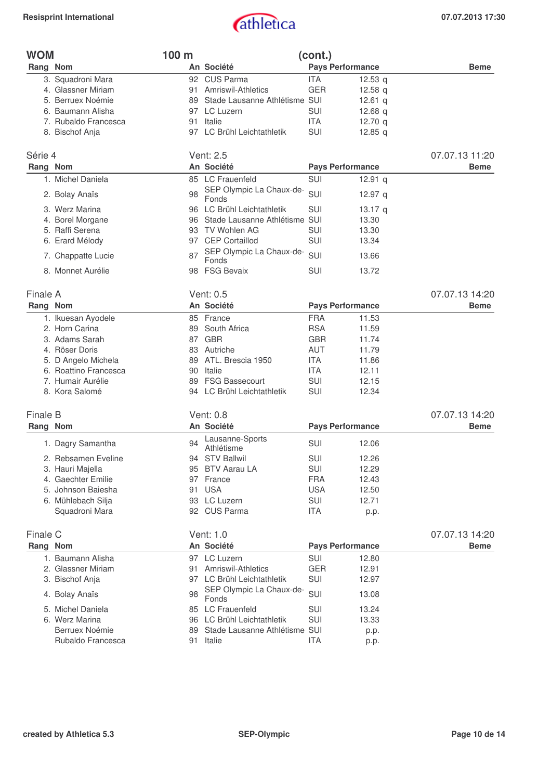# **Resisprint International 07.07.2013 17:30**

| <b>WOM</b> |                       | 100 m |                                   | (cont.)    |                         |                |
|------------|-----------------------|-------|-----------------------------------|------------|-------------------------|----------------|
| Rang Nom   |                       |       | An Société                        |            | <b>Pays Performance</b> | <b>Beme</b>    |
|            | 3. Squadroni Mara     |       | 92 CUS Parma                      | <b>ITA</b> | 12.53 $q$               |                |
|            | 4. Glassner Miriam    |       | 91 Amriswil-Athletics             | <b>GER</b> | 12.58 $q$               |                |
|            | 5. Berruex Noémie     | 89    | Stade Lausanne Athlétisme SUI     |            | $12.61$ q               |                |
|            | 6. Baumann Alisha     |       | 97 LC Luzern                      | SUI        | 12.68 <sub>a</sub>      |                |
|            | 7. Rubaldo Francesca  | 91    | Italie                            | <b>ITA</b> | 12.70 q                 |                |
|            | 8. Bischof Anja       |       | 97 LC Brühl Leichtathletik        | SUI        | 12.85 <sub>q</sub>      |                |
| Série 4    |                       |       | Vent: 2.5                         |            |                         | 07.07.13 11:20 |
|            |                       |       |                                   |            |                         |                |
| Rang Nom   |                       |       | An Société                        |            | <b>Pays Performance</b> | <b>Beme</b>    |
|            | 1. Michel Daniela     |       | 85 LC Frauenfeld                  | SUI        | 12.91 $q$               |                |
|            | 2. Bolay Anaïs        | 98    | SEP Olympic La Chaux-de-<br>Fonds | SUI        | 12.97 q                 |                |
|            | 3. Werz Marina        |       | 96 LC Brühl Leichtathletik        | SUI        | 13.17 g                 |                |
|            | 4. Borel Morgane      | 96    | Stade Lausanne Athlétisme SUI     |            | 13.30                   |                |
|            | 5. Raffi Serena       |       | 93 TV Wohlen AG                   | SUI        | 13.30                   |                |
|            | 6. Erard Mélody       |       | 97 CEP Cortaillod                 | SUI        | 13.34                   |                |
|            | 7. Chappatte Lucie    | 87    | SEP Olympic La Chaux-de-<br>Fonds | SUI        | 13.66                   |                |
|            | 8. Monnet Aurélie     |       | 98 FSG Bevaix                     | SUI        | 13.72                   |                |
| Finale A   |                       |       | Vent: 0.5                         |            |                         | 07.07.13 14:20 |
| Rang Nom   |                       |       | An Société                        |            | <b>Pays Performance</b> | <b>Beme</b>    |
|            | 1. Ikuesan Ayodele    |       | 85 France                         | <b>FRA</b> | 11.53                   |                |
|            | 2. Horn Carina        | 89    | South Africa                      | <b>RSA</b> | 11.59                   |                |
|            | 3. Adams Sarah        | 87    | <b>GBR</b>                        | <b>GBR</b> | 11.74                   |                |
|            | 4. Röser Doris        |       | 83 Autriche                       | AUT        | 11.79                   |                |
|            | 5. D Angelo Michela   | 89    | ATL. Brescia 1950                 | <b>ITA</b> | 11.86                   |                |
|            | 6. Roattino Francesca | 90    | Italie                            | <b>ITA</b> | 12.11                   |                |
|            | 7. Humair Aurélie     | 89    | <b>FSG Bassecourt</b>             | SUI        | 12.15                   |                |
|            | 8. Kora Salomé        |       | 94 LC Brühl Leichtathletik        | SUI        | 12.34                   |                |
|            |                       |       |                                   |            |                         |                |
| Finale B   |                       |       | Vent: 0.8                         |            |                         | 07.07.13 14:20 |
| Rang Nom   |                       |       | An Société                        |            | <b>Pays Performance</b> | <b>Beme</b>    |
|            | 1. Dagry Samantha     | 94    | Lausanne-Sports<br>Athlétisme     | <b>SUI</b> | 12.06                   |                |
|            | 2. Rebsamen Eveline   |       | 94 STV Ballwil                    | <b>SUI</b> | 12.26                   |                |
|            | 3. Hauri Majella      |       | 95 BTV Aarau LA                   | SUI        | 12.29                   |                |
|            | 4. Gaechter Emilie    |       | 97 France                         | <b>FRA</b> | 12.43                   |                |
|            | 5. Johnson Baiesha    |       | 91 USA                            | <b>USA</b> | 12.50                   |                |
|            | 6. Mühlebach Silja    |       | 93 LC Luzern                      | SUI        | 12.71                   |                |
|            | Squadroni Mara        |       | 92 CUS Parma                      | <b>ITA</b> | p.p.                    |                |
| Finale C   |                       |       | Vent: 1.0                         |            |                         | 07.07.13 14:20 |
| Rang Nom   |                       |       | An Société                        |            | <b>Pays Performance</b> | <b>Beme</b>    |
|            | 1. Baumann Alisha     |       | 97 LC Luzern                      |            |                         |                |
|            |                       |       |                                   | SUI        | 12.80                   |                |
|            | 2. Glassner Miriam    | 91    | Amriswil-Athletics                | <b>GER</b> | 12.91                   |                |
|            | 3. Bischof Anja       |       | 97 LC Brühl Leichtathletik        | SUI        | 12.97                   |                |
|            | 4. Bolay Anaïs        | 98    | SEP Olympic La Chaux-de-<br>Fonds | SUI        | 13.08                   |                |
|            | 5. Michel Daniela     |       | 85 LC Frauenfeld                  | SUI        | 13.24                   |                |
|            | 6. Werz Marina        |       | 96 LC Brühl Leichtathletik        | SUI        | 13.33                   |                |
|            | Berruex Noémie        |       | 89 Stade Lausanne Athlétisme SUI  |            | p.p.                    |                |
|            | Rubaldo Francesca     |       | 91 Italie                         | <b>ITA</b> | p.p.                    |                |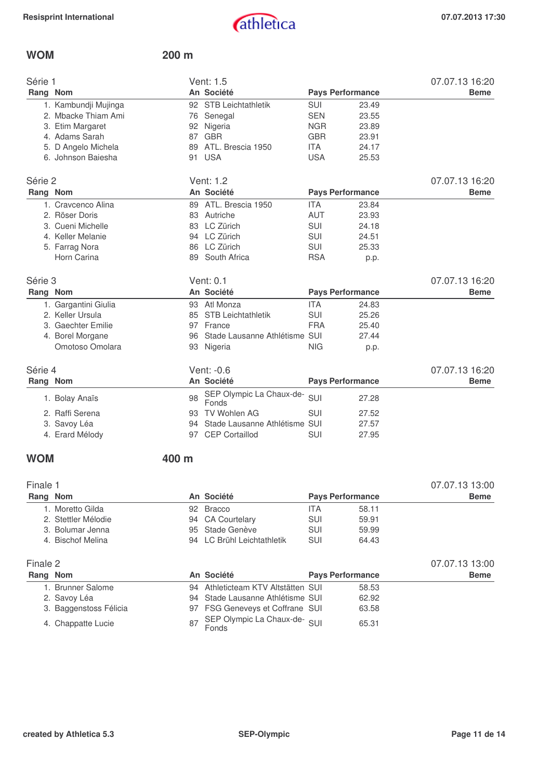### **WOM 200 m**

| Série 1              |       | Vent: 1.5                         |            |                         | 07.07.13 16:20 |
|----------------------|-------|-----------------------------------|------------|-------------------------|----------------|
| Rang Nom             |       | An Société                        |            | <b>Pays Performance</b> | <b>Beme</b>    |
| 1. Kambundji Mujinga |       | 92 STB Leichtathletik             | SUI        | 23.49                   |                |
| 2. Mbacke Thiam Ami  |       | 76 Senegal                        | <b>SEN</b> | 23.55                   |                |
| 3. Etim Margaret     |       | 92 Nigeria                        | <b>NGR</b> | 23.89                   |                |
| 4. Adams Sarah       | 87    | <b>GBR</b>                        | <b>GBR</b> | 23.91                   |                |
| 5. D Angelo Michela  |       | 89 ATL, Brescia 1950              | <b>ITA</b> | 24.17                   |                |
| 6. Johnson Baiesha   |       | 91 USA                            | <b>USA</b> | 25.53                   |                |
| Série 2              |       | Vent: 1.2                         |            |                         | 07.07.13 16:20 |
| Rang Nom             |       | An Société                        |            | <b>Pays Performance</b> | <b>Beme</b>    |
| 1. Cravcenco Alina   |       | 89 ATL, Brescia 1950              | <b>ITA</b> | 23.84                   |                |
| 2. Röser Doris       |       | 83 Autriche                       | AUT        | 23.93                   |                |
| 3. Cueni Michelle    |       | 83 LC Zürich                      | SUI        | 24.18                   |                |
| 4. Keller Melanie    |       | 94 LC Zürich                      | SUI        | 24.51                   |                |
| 5. Farrag Nora       |       | 86 LC Zürich                      | SUI        | 25.33                   |                |
| Horn Carina          |       | 89 South Africa                   | <b>RSA</b> |                         |                |
|                      |       |                                   |            | p.p.                    |                |
| Série 3              |       | Vent: 0.1                         |            |                         | 07.07.13 16:20 |
| Rang Nom             |       | An Société                        |            | <b>Pays Performance</b> | <b>Beme</b>    |
| 1. Gargantini Giulia |       | 93 Atl Monza                      | <b>ITA</b> | 24.83                   |                |
| 2. Keller Ursula     | 85    | <b>STB Leichtathletik</b>         | SUI        | 25.26                   |                |
| 3. Gaechter Emilie   |       | 97 France                         | <b>FRA</b> | 25.40                   |                |
| 4. Borel Morgane     |       | 96 Stade Lausanne Athlétisme SUI  |            | 27.44                   |                |
| Omotoso Omolara      |       | 93 Nigeria                        | <b>NIG</b> | p.p.                    |                |
| Série 4              |       | Vent: -0.6                        |            |                         | 07.07.13 16:20 |
| Rang Nom             |       | An Société                        |            | <b>Pays Performance</b> | <b>Beme</b>    |
|                      |       |                                   |            |                         |                |
| 1. Bolay Anaïs       | 98    | SEP Olympic La Chaux-de-<br>Fonds | SUI        | 27.28                   |                |
| 2. Raffi Serena      | 93    | TV Wohlen AG                      | SUI        | 27.52                   |                |
| 3. Savoy Léa         |       | 94 Stade Lausanne Athlétisme SUI  |            | 27.57                   |                |
| 4. Erard Mélody      |       | 97 CEP Cortaillod                 | <b>SUI</b> | 27.95                   |                |
| <b>WOM</b>           | 400 m |                                   |            |                         |                |
|                      |       |                                   |            |                         |                |

| Finale 1 |                        |    |                                          |            |                         | 07.07.13 13:00 |
|----------|------------------------|----|------------------------------------------|------------|-------------------------|----------------|
| Rang Nom |                        |    | An Société                               |            | <b>Pays Performance</b> | <b>Beme</b>    |
|          | 1. Moretto Gilda       | 92 | <b>Bracco</b>                            | <b>ITA</b> | 58.11                   |                |
|          | 2. Stettler Mélodie    | 94 | <b>CA Courtelary</b>                     | SUI        | 59.91                   |                |
|          | 3. Bolumar Jenna       | 95 | Stade Genève                             | SUI        | 59.99                   |                |
|          | 4. Bischof Melina      |    | 94 LC Brühl Leichtathletik               | SUI        | 64.43                   |                |
| Finale 2 |                        |    |                                          |            |                         | 07.07.13 13:00 |
| Rang Nom |                        |    | An Société                               |            | <b>Pays Performance</b> | <b>Beme</b>    |
|          | 1. Brunner Salome      | 94 | Athleticteam KTV Altstätten SUI          |            | 58.53                   |                |
|          | 2. Savoy Léa           | 94 | Stade Lausanne Athlétisme SUI            |            | 62.92                   |                |
|          | 3. Baggenstoss Félicia | 97 | FSG Geneveys et Coffrane SUI             |            | 63.58                   |                |
|          | 4. Chappatte Lucie     | 87 | SEP Olympic La Chaux-de- SUI<br>$F$ anda |            | 65.31                   |                |

Fonds

4. Chappatte Lucie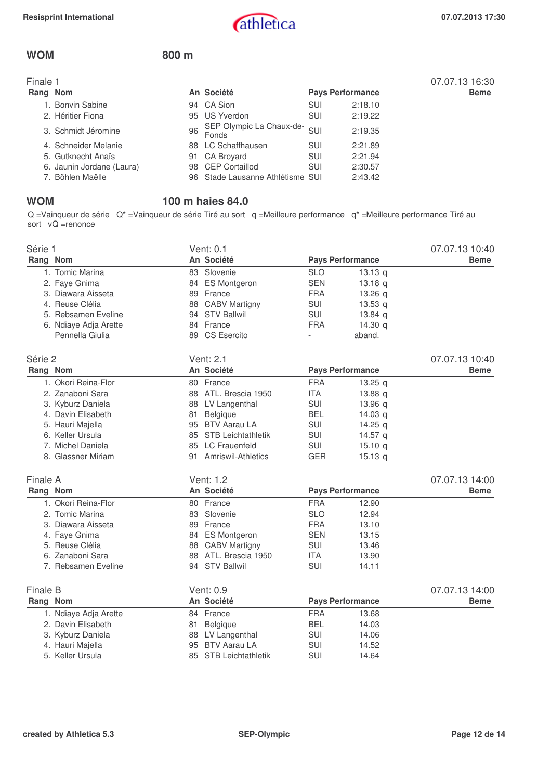# Resisprint International **a a 17:30 a 17:30 17:30**

### **WOM 800 m**

| Finale 1 |                           |    |                                   |                         |         | 07.07.13 16:30 |
|----------|---------------------------|----|-----------------------------------|-------------------------|---------|----------------|
| Rang Nom |                           |    | An Société                        | <b>Pays Performance</b> |         | <b>Beme</b>    |
|          | 1. Bonvin Sabine          |    | 94 CA Sion                        | <b>SUI</b>              | 2:18.10 |                |
|          | 2. Héritier Fiona         |    | 95 US Yverdon                     | <b>SUI</b>              | 2:19.22 |                |
|          | 3. Schmidt Jéromine       | 96 | SEP Olympic La Chaux-de-<br>Fonds | <b>SUI</b>              | 2:19.35 |                |
|          | 4. Schneider Melanie      | 88 | LC Schaffhausen                   | <b>SUI</b>              | 2:21.89 |                |
|          | 5. Gutknecht Anaïs        |    | 91 CA Brovard                     | <b>SUI</b>              | 2:21.94 |                |
|          | 6. Jaunin Jordane (Laura) | 98 | CEP Cortaillod                    | <b>SUI</b>              | 2:30.57 |                |
|          | 7. Böhlen Maëlle          | 96 | Stade Lausanne Athlétisme SUI     |                         | 2:43.42 |                |
|          |                           |    |                                   |                         |         |                |

## **WOM 100 m haies 84.0**

| Série 1         |                       |    | <b>Vent: 0.1</b>          |            |                         | 07.07.13 10:40 |
|-----------------|-----------------------|----|---------------------------|------------|-------------------------|----------------|
| Rang Nom        |                       |    | An Société                |            | <b>Pays Performance</b> | <b>Beme</b>    |
|                 | 1. Tomic Marina       |    | 83 Slovenie               | <b>SLO</b> | 13.13q                  |                |
|                 | 2. Faye Gnima         |    | 84 ES Montgeron           | <b>SEN</b> | 13.18q                  |                |
|                 | 3. Diawara Aisseta    |    | 89 France                 | <b>FRA</b> | 13.26 <sub>q</sub>      |                |
|                 | 4. Reuse Clélia       |    | 88 CABV Martigny          | <b>SUI</b> | 13.53 $q$               |                |
|                 | 5. Rebsamen Eveline   |    | 94 STV Ballwil            | SUI        | 13.84 q                 |                |
|                 | 6. Ndiaye Adja Arette |    | 84 France                 | <b>FRA</b> | 14.30 q                 |                |
|                 | Pennella Giulia       |    | 89 CS Esercito            |            | aband.                  |                |
| Série 2         |                       |    | Vent: 2.1                 |            |                         | 07.07.13 10:40 |
| Rang Nom        |                       |    | An Société                |            | <b>Pays Performance</b> | <b>Beme</b>    |
|                 | 1. Okori Reina-Flor   |    | 80 France                 | <b>FRA</b> | 13.25q                  |                |
|                 | 2. Zanaboni Sara      |    | 88 ATL, Brescia 1950      | <b>ITA</b> | 13.88 q                 |                |
|                 | 3. Kyburz Daniela     |    | 88 LV Langenthal          | SUI        | 13.96 q                 |                |
|                 | 4. Davin Elisabeth    |    | 81 Belgique               | <b>BEL</b> | 14.03 $q$               |                |
|                 | 5. Hauri Majella      |    | 95 BTV Aarau LA           | SUI        | 14.25 $q$               |                |
|                 | 6. Keller Ursula      |    | 85 STB Leichtathletik     | SUI        | 14.57 $q$               |                |
|                 | 7. Michel Daniela     |    | 85 LC Frauenfeld          | <b>SUI</b> | 15.10q                  |                |
|                 | 8. Glassner Miriam    |    | 91 Amriswil-Athletics     | <b>GER</b> | 15.13 $q$               |                |
| Finale A        |                       |    | Vent: 1.2                 |            |                         | 07.07.13 14:00 |
| Rang Nom        |                       |    | An Société                |            | <b>Pays Performance</b> | <b>Beme</b>    |
|                 | 1. Okori Reina-Flor   |    | 80 France                 | <b>FRA</b> | 12.90                   |                |
|                 | 2. Tomic Marina       |    | 83 Slovenie               | <b>SLO</b> | 12.94                   |                |
|                 | 3. Diawara Aisseta    |    | 89 France                 | <b>FRA</b> | 13.10                   |                |
|                 | 4. Faye Gnima         |    | 84 ES Montgeron           | <b>SEN</b> | 13.15                   |                |
|                 | 5. Reuse Clélia       |    | 88 CABV Martigny          | SUI        | 13.46                   |                |
|                 | 6. Zanaboni Sara      |    | 88 ATL. Brescia 1950      | <b>ITA</b> | 13.90                   |                |
|                 | 7. Rebsamen Eveline   |    | 94 STV Ballwil            | SUI        | 14.11                   |                |
| <b>Finale B</b> |                       |    | Vent: 0.9                 |            |                         | 07.07.13 14:00 |
| Rang Nom        |                       |    | An Société                |            | <b>Pays Performance</b> | <b>Beme</b>    |
|                 | 1. Ndiaye Adja Arette |    | 84 France                 | <b>FRA</b> | 13.68                   |                |
|                 | 2. Davin Elisabeth    | 81 | <b>Belgique</b>           | <b>BEL</b> | 14.03                   |                |
|                 | 3. Kyburz Daniela     |    | 88 LV Langenthal          | SUI        | 14.06                   |                |
|                 | 4. Hauri Majella      |    | 95 BTV Aarau LA           | SUI        | 14.52                   |                |
|                 | 5. Keller Ursula      | 85 | <b>STB Leichtathletik</b> | SUI        | 14.64                   |                |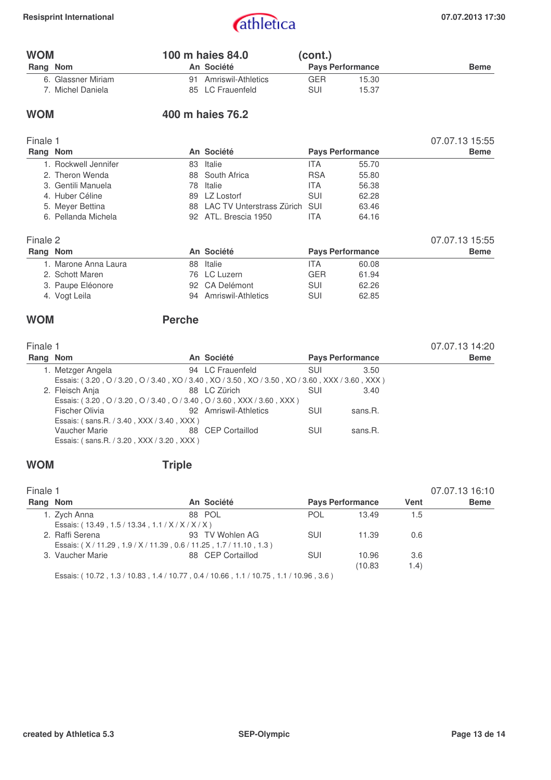# Resisprint International **a a 17:30 a 17:30 17:30**

| <b>WOM</b>         | 100 m haies 84.0         | (cont.)                 |       |             |
|--------------------|--------------------------|-------------------------|-------|-------------|
| Rang Nom           | An Société               | <b>Pays Performance</b> |       | <b>Beme</b> |
| 6. Glassner Miriam | Amriswil-Athletics<br>91 | GER                     | 15.30 |             |
| 7. Michel Daniela  | 85 LC Frauenfeld         | SUI                     | 15.37 |             |

## **WOM 400 m haies 76.2**

| тан |
|-----|
|-----|

|          | Finale 1             |    |                                  |            |                         | 07.07.13 15:55 |
|----------|----------------------|----|----------------------------------|------------|-------------------------|----------------|
| Rang Nom |                      |    | An Société                       |            | <b>Pays Performance</b> | <b>Beme</b>    |
|          | 1. Rockwell Jennifer | 83 | Italie                           | ITA        | 55.70                   |                |
|          | 2. Theron Wenda      |    | 88 South Africa                  | <b>RSA</b> | 55.80                   |                |
|          | 3. Gentili Manuela   |    | 78 Italie                        | ITA        | 56.38                   |                |
|          | 4. Huber Céline      | 89 | LZ Lostorf                       | SUI        | 62.28                   |                |
|          | 5. Meyer Bettina     |    | 88 LAC TV Unterstrass Zürich SUI |            | 63.46                   |                |
|          | 6. Pellanda Michela  |    | 92 ATL, Brescia 1950             | ITA        | 64.16                   |                |
| Finale 2 |                      |    |                                  |            |                         | 07.07.13 15:55 |

| $\overline{\phantom{a}}$ in and $\overline{\phantom{a}}$ | 07.UT UT UT          |                       |                         |       |             |
|----------------------------------------------------------|----------------------|-----------------------|-------------------------|-------|-------------|
| Rang Nom                                                 |                      | An Société            | <b>Pays Performance</b> |       | <b>Beme</b> |
|                                                          | 1. Marone Anna Laura | 88 Italie             | ITA                     | 60.08 |             |
|                                                          | 2. Schott Maren      | 76 LC Luzern          | GER                     | 61.94 |             |
|                                                          | 3. Paupe Eléonore    | 92 CA Delémont        | SUI                     | 62.26 |             |
|                                                          | 4. Vogt Leila        | 94 Amriswil-Athletics | SUI                     | 62.85 |             |

### **WOM Perche**

| Finale 1 |                                                                                                  |                       |     |                         | 07.07.13 14:20 |
|----------|--------------------------------------------------------------------------------------------------|-----------------------|-----|-------------------------|----------------|
| Rang Nom |                                                                                                  | An Société            |     | <b>Pays Performance</b> | <b>Beme</b>    |
|          | 1. Metzger Angela                                                                                | 94 LC Frauenfeld      | SUI | 3.50                    |                |
|          | Essais: (3.20, O / 3.20, O / 3.40, XO / 3.40, XO / 3.50, XO / 3.50, XO / 3.60, XXX / 3.60, XXX ) |                       |     |                         |                |
|          | 2. Fleisch Anja                                                                                  | 88 LC Zürich          | SUI | 3.40                    |                |
|          | Essais: (3.20, O / 3.20, O / 3.40, O / 3.40, O / 3.60, XXX / 3.60, XXX)                          |                       |     |                         |                |
|          | Fischer Olivia                                                                                   | 92 Amriswil-Athletics | SUI | sans.R.                 |                |
|          | Essais: (sans.R. / 3.40, XXX / 3.40, XXX)                                                        |                       |     |                         |                |
|          | Vaucher Marie                                                                                    | 88 CEP Cortaillod     | SUI | sans.R.                 |                |
|          | Essais: (sans.R. / 3.20, XXX / 3.20, XXX)                                                        |                       |     |                         |                |
|          |                                                                                                  |                       |     |                         |                |

# **WOM Triple**

| Finale 1 |                                                           |                   |            |                         |      | 07.07.13 16:10 |
|----------|-----------------------------------------------------------|-------------------|------------|-------------------------|------|----------------|
| Rang Nom |                                                           | An Société        |            | <b>Pays Performance</b> | Vent | <b>Beme</b>    |
|          | 1. Zych Anna                                              | 88 POL            | <b>POL</b> | 13.49                   | 1.5  |                |
|          | Essais: (13.49, 1.5/13.34, 1.1/X/X/X/X)                   |                   |            |                         |      |                |
|          | 2. Raffi Serena                                           | 93 TV Wohlen AG   | SUI        | 11.39                   | 0.6  |                |
|          | Essais: (X/11.29, 1.9/X/11.39, 0.6/11.25, 1.7/11.10, 1.3) |                   |            |                         |      |                |
|          | 3. Vaucher Marie                                          | 88 CEP Cortaillod | SUI        | 10.96                   | 3.6  |                |
|          |                                                           |                   |            | (10.83)                 | 1.4) |                |
|          |                                                           |                   |            |                         |      |                |

Essais: ( 10.72 , 1.3 / 10.83 , 1.4 / 10.77 , 0.4 / 10.66 , 1.1 / 10.75 , 1.1 / 10.96 , 3.6 )